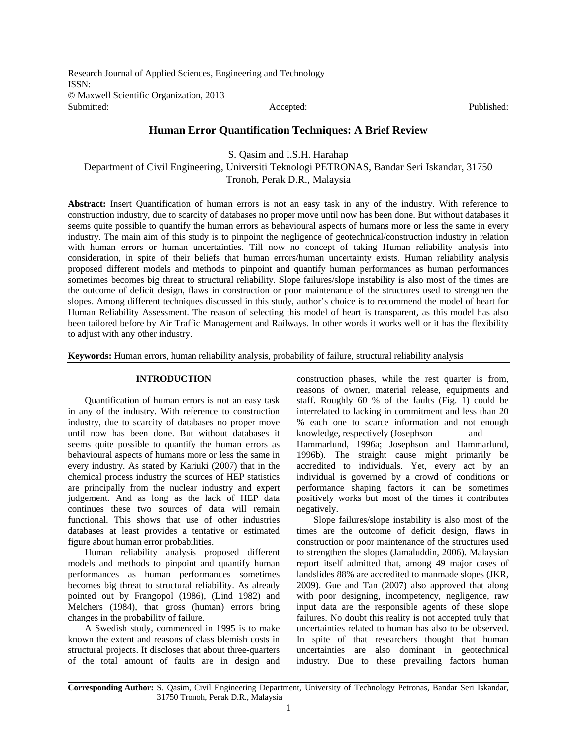Research Journal of Applied Sciences, Engineering and Technology ISSN: © Maxwell Scientific Organization, 2013 Submitted: The Contract of the Contract Accepted: Published: Published: Published:

# **Human Error Quantification Techniques: A Brief Review**

S. Qasim and I.S.H. Harahap Department of Civil Engineering, Universiti Teknologi PETRONAS, Bandar Seri Iskandar, 31750 Tronoh, Perak D.R., Malaysia

**Abstract:** Insert Quantification of human errors is not an easy task in any of the industry. With reference to construction industry, due to scarcity of databases no proper move until now has been done. But without databases it seems quite possible to quantify the human errors as behavioural aspects of humans more or less the same in every industry. The main aim of this study is to pinpoint the negligence of geotechnical/construction industry in relation with human errors or human uncertainties. Till now no concept of taking Human reliability analysis into consideration, in spite of their beliefs that human errors/human uncertainty exists. Human reliability analysis proposed different models and methods to pinpoint and quantify human performances as human performances sometimes becomes big threat to structural reliability. Slope failures/slope instability is also most of the times are the outcome of deficit design, flaws in construction or poor maintenance of the structures used to strengthen the slopes. Among different techniques discussed in this study, author's choice is to recommend the model of heart for Human Reliability Assessment. The reason of selecting this model of heart is transparent, as this model has also been tailored before by Air Traffic Management and Railways. In other words it works well or it has the flexibility to adjust with any other industry.

**Keywords:** Human errors, human reliability analysis, probability of failure, structural reliability analysis

## **INTRODUCTION**

Quantification of human errors is not an easy task in any of the industry. With reference to construction industry, due to scarcity of databases no proper move until now has been done. But without databases it seems quite possible to quantify the human errors as behavioural aspects of humans more or less the same in every industry. As stated by Kariuki (2007) that in the chemical process industry the sources of HEP statistics are principally from the nuclear industry and expert judgement. And as long as the lack of HEP data continues these two sources of data will remain functional. This shows that use of other industries databases at least provides a tentative or estimated figure about human error probabilities.

Human reliability analysis proposed different models and methods to pinpoint and quantify human performances as human performances sometimes becomes big threat to structural reliability. As already pointed out by Frangopol (1986), (Lind 1982) and Melchers (1984), that gross (human) errors bring changes in the probability of failure.

A Swedish study, commenced in 1995 is to make known the extent and reasons of class blemish costs in structural projects. It discloses that about three-quarters of the total amount of faults are in design and construction phases, while the rest quarter is from, reasons of owner, material release, equipments and staff. Roughly 60 % of the faults (Fig. 1) could be interrelated to lacking in commitment and less than 20 % each one to scarce information and not enough knowledge, respectively (Josephson and Hammarlund, 1996a; Josephson and Hammarlund, 1996b). The straight cause might primarily be accredited to individuals. Yet, every act by an individual is governed by a crowd of conditions or performance shaping factors it can be sometimes positively works but most of the times it contributes negatively.

Slope failures/slope instability is also most of the times are the outcome of deficit design, flaws in construction or poor maintenance of the structures used to strengthen the slopes (Jamaluddin, 2006). Malaysian report itself admitted that, among 49 major cases of landslides 88% are accredited to manmade slopes (JKR, 2009). Gue and Tan (2007) also approved that along with poor designing, incompetency, negligence, raw input data are the responsible agents of these slope failures. No doubt this reality is not accepted truly that uncertainties related to human has also to be observed. In spite of that researchers thought that human uncertainties are also dominant in geotechnical industry. Due to these prevailing factors human

**Corresponding Author:** S. Qasim, Civil Engineering Department, University of Technology Petronas, Bandar Seri Iskandar, 31750 Tronoh, Perak D.R., Malaysia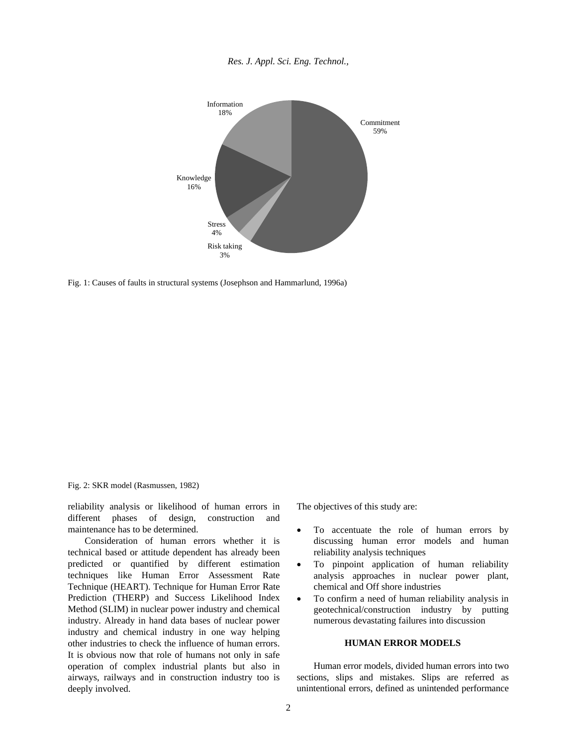



Fig. 1: Causes of faults in structural systems (Josephson and Hammarlund, 1996a)

Fig. 2: SKR model (Rasmussen, 1982)

reliability analysis or likelihood of human errors in different phases of design, construction and maintenance has to be determined.

Consideration of human errors whether it is technical based or attitude dependent has already been predicted or quantified by different estimation techniques like Human Error Assessment Rate Technique (HEART). Technique for Human Error Rate Prediction (THERP) and Success Likelihood Index Method (SLIM) in nuclear power industry and chemical industry. Already in hand data bases of nuclear power industry and chemical industry in one way helping other industries to check the influence of human errors. It is obvious now that role of humans not only in safe operation of complex industrial plants but also in airways, railways and in construction industry too is deeply involved.

The objectives of this study are:

- To accentuate the role of human errors by discussing human error models and human reliability analysis techniques
- To pinpoint application of human reliability analysis approaches in nuclear power plant, chemical and Off shore industries
- To confirm a need of human reliability analysis in geotechnical/construction industry by putting numerous devastating failures into discussion

## **HUMAN ERROR MODELS**

Human error models, divided human errors into two sections, slips and mistakes. Slips are referred as unintentional errors, defined as unintended performance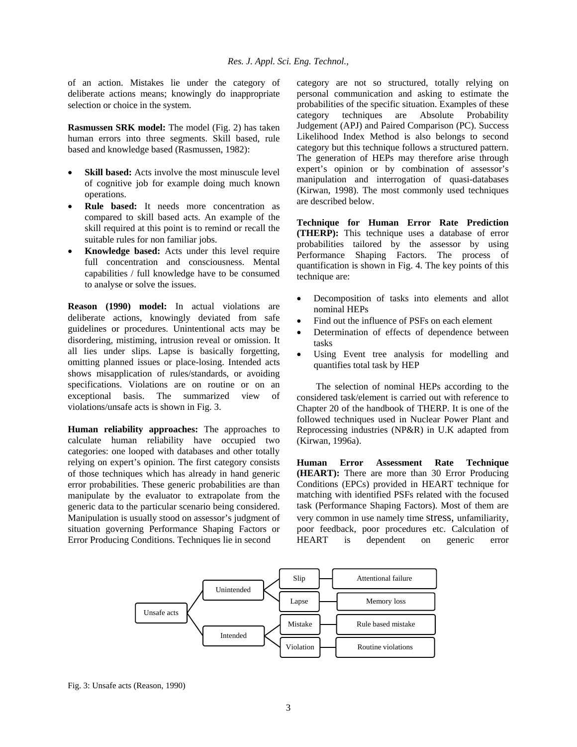of an action. Mistakes lie under the category of deliberate actions means; knowingly do inappropriate selection or choice in the system.

**Rasmussen SRK model:** The model (Fig. 2) has taken human errors into three segments. Skill based, rule based and knowledge based (Rasmussen, 1982):

- **Skill based:** Acts involve the most minuscule level of cognitive job for example doing much known operations.
- **Rule based:** It needs more concentration as compared to skill based acts. An example of the skill required at this point is to remind or recall the suitable rules for non familiar jobs.
- **Knowledge based:** Acts under this level require full concentration and consciousness. Mental capabilities / full knowledge have to be consumed to analyse or solve the issues.

**Reason (1990) model:** In actual violations are deliberate actions, knowingly deviated from safe guidelines or procedures. Unintentional acts may be disordering, mistiming, intrusion reveal or omission. It all lies under slips. Lapse is basically forgetting, omitting planned issues or place-losing. Intended acts shows misapplication of rules/standards, or avoiding specifications. Violations are on routine or on an exceptional basis. The summarized view of violations/unsafe acts is shown in Fig. 3.

**Human reliability approaches:** The approaches to calculate human reliability have occupied two categories: one looped with databases and other totally relying on expert's opinion. The first category consists of those techniques which has already in hand generic error probabilities. These generic probabilities are than manipulate by the evaluator to extrapolate from the generic data to the particular scenario being considered. Manipulation is usually stood on assessor's judgment of situation governing Performance Shaping Factors or Error Producing Conditions. Techniques lie in second

category are not so structured, totally relying on personal communication and asking to estimate the probabilities of the specific situation. Examples of these category techniques are Absolute Probability Judgement (APJ) and Paired Comparison (PC). Success Likelihood Index Method is also belongs to second category but this technique follows a structured pattern. The generation of HEPs may therefore arise through expert's opinion or by combination of assessor's manipulation and interrogation of quasi-databases (Kirwan, 1998). The most commonly used techniques are described below.

**Technique for Human Error Rate Prediction (THERP):** This technique uses a database of error probabilities tailored by the assessor by using Performance Shaping Factors. The process of quantification is shown in Fig. 4. The key points of this technique are:

- Decomposition of tasks into elements and allot nominal HEPs
- Find out the influence of PSFs on each element
- Determination of effects of dependence between tasks
- Using Event tree analysis for modelling and quantifies total task by HEP

 The selection of nominal HEPs according to the considered task/element is carried out with reference to Chapter 20 of the handbook of THERP. It is one of the followed techniques used in Nuclear Power Plant and Reprocessing industries (NP&R) in U.K adapted from (Kirwan, 1996a).

**Human Error Assessment Rate Technique (HEART):** There are more than 30 Error Producing Conditions (EPCs) provided in HEART technique for matching with identified PSFs related with the focused task (Performance Shaping Factors). Most of them are very common in use namely time stress, unfamiliarity, poor feedback, poor procedures etc. Calculation of HEART is dependent on generic error



Fig. 3: Unsafe acts (Reason, 1990)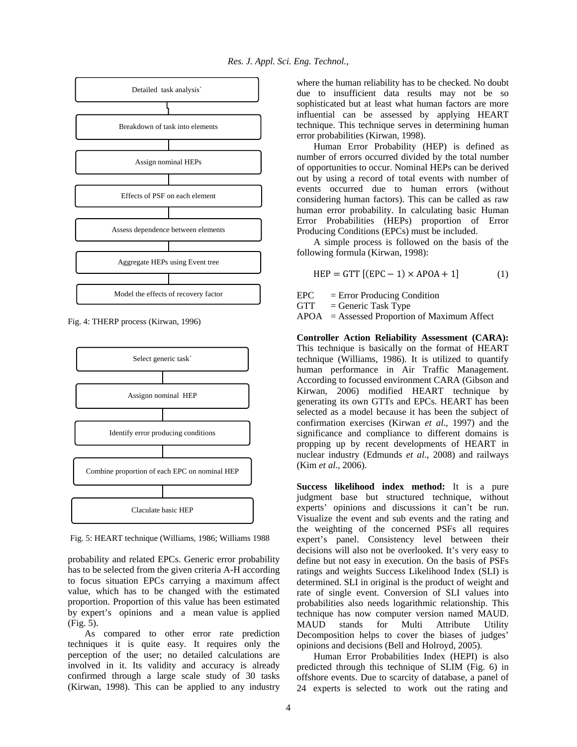

Fig. 4: THERP process (Kirwan, 1996)



 Fig. 5: HEART technique (Williams, 1986; Williams 1988

probability and related EPCs. Generic error probability has to be selected from the given criteria A-H according to focus situation EPCs carrying a maximum affect value, which has to be changed with the estimated proportion. Proportion of this value has been estimated by expert's opinions and a mean value is applied (Fig. 5).

As compared to other error rate prediction techniques it is quite easy. It requires only the perception of the user; no detailed calculations are involved in it. Its validity and accuracy is already confirmed through a large scale study of 30 tasks (Kirwan, 1998). This can be applied to any industry

where the human reliability has to be checked. No doubt due to insufficient data results may not be so sophisticated but at least what human factors are more influential can be assessed by applying HEART technique. This technique serves in determining human error probabilities (Kirwan, 1998).

Human Error Probability (HEP) is defined as number of errors occurred divided by the total number of opportunities to occur. Nominal HEPs can be derived out by using a record of total events with number of events occurred due to human errors (without considering human factors). This can be called as raw human error probability. In calculating basic Human Error Probabilities (HEPs) proportion of Error Producing Conditions (EPCs) must be included.

A simple process is followed on the basis of the following formula (Kirwan, 1998):

$$
HEP = GTT [(EPC - 1) \times APOA + 1]
$$
 (1)

EPC = Error Producing Condition

 $GTT =$ Generic Task Type

APOA = Assessed Proportion of Maximum Affect

**Controller Action Reliability Assessment (CARA):**  This technique is basically on the format of HEART technique (Williams, 1986). It is utilized to quantify human performance in Air Traffic Management. According to focussed environment CARA (Gibson and Kirwan, 2006) modified HEART technique by generating its own GTTs and EPCs. HEART has been selected as a model because it has been the subject of confirmation exercises (Kirwan *et al*., 1997) and the significance and compliance to different domains is propping up by recent developments of HEART in nuclear industry (Edmunds *et al*., 2008) and railways (Kim *et al*., 2006).

**Success likelihood index method:** It is a pure judgment base but structured technique, without experts' opinions and discussions it can't be run. Visualize the event and sub events and the rating and the weighting of the concerned PSFs all requires expert's panel. Consistency level between their decisions will also not be overlooked. It's very easy to define but not easy in execution. On the basis of PSFs ratings and weights Success Likelihood Index (SLI) is determined. SLI in original is the product of weight and rate of single event. Conversion of SLI values into probabilities also needs logarithmic relationship. This technique has now computer version named MAUD. MAUD stands for Multi Attribute Utility Decomposition helps to cover the biases of judges' opinions and decisions (Bell and Holroyd, 2005).

Human Error Probabilities Index (HEPI) is also predicted through this technique of SLIM (Fig. 6) in offshore events. Due to scarcity of database, a panel of 24 experts is selected to work out the rating and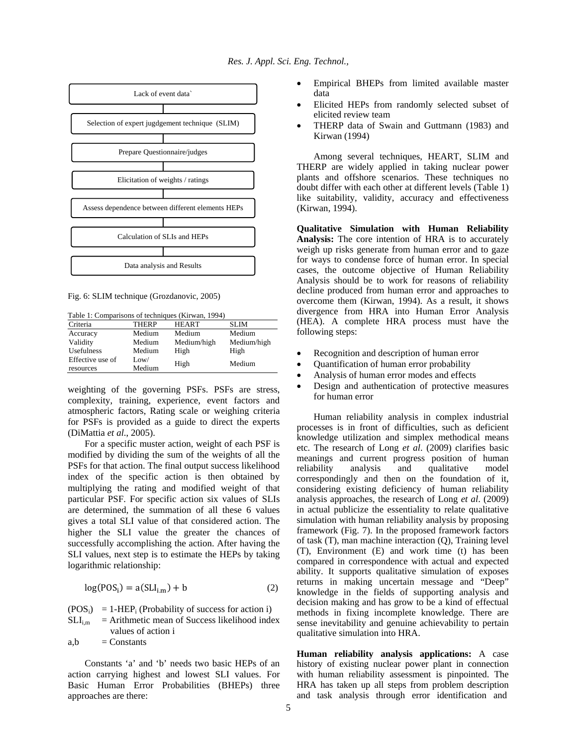

Fig. 6: SLIM technique (Grozdanovic, 2005)

Table 1: Comparisons of techniques (Kirwan, 1994)

| Criteria         | <b>THERP</b> | <b>HEART</b> | <b>SLIM</b> |  |
|------------------|--------------|--------------|-------------|--|
| Accuracy         | Medium       | Medium       | Medium      |  |
| Validity         | Medium       | Medium/high  | Medium/high |  |
| Usefulness       | Medium       | High         | High        |  |
| Effective use of | Low/         | High         | Medium      |  |
| resources        | Medium       |              |             |  |

weighting of the governing PSFs. PSFs are stress, complexity, training, experience, event factors and atmospheric factors, Rating scale or weighing criteria for PSFs is provided as a guide to direct the experts (DiMattia *et al*., 2005).

For a specific muster action, weight of each PSF is modified by dividing the sum of the weights of all the PSFs for that action. The final output success likelihood index of the specific action is then obtained by multiplying the rating and modified weight of that particular PSF. For specific action six values of SLIs are determined, the summation of all these 6 values gives a total SLI value of that considered action. The higher the SLI value the greater the chances of successfully accomplishing the action. After having the SLI values, next step is to estimate the HEPs by taking logarithmic relationship:

$$
log(POSi) = a(SLIi.m) + b
$$
 (2)

 $(POS<sub>i</sub>) = 1-HEP<sub>i</sub> (Probability of success for action i)$ 

 $SLI<sub>im</sub>$  = Arithmetic mean of Success likelihood index values of action i

 $a,b =$ Constants

Constants 'a' and 'b' needs two basic HEPs of an action carrying highest and lowest SLI values. For Basic Human Error Probabilities (BHEPs) three approaches are there:

- Empirical BHEPs from limited available master data
- Elicited HEPs from randomly selected subset of elicited review team
- THERP data of Swain and Guttmann (1983) and Kirwan (1994)

Among several techniques, HEART, SLIM and THERP are widely applied in taking nuclear power plants and offshore scenarios. These techniques no doubt differ with each other at different levels (Table 1) like suitability, validity, accuracy and effectiveness (Kirwan, 1994).

**Qualitative Simulation with Human Reliability Analysis:** The core intention of HRA is to accurately weigh up risks generate from human error and to gaze for ways to condense force of human error. In special cases, the outcome objective of Human Reliability Analysis should be to work for reasons of reliability decline produced from human error and approaches to overcome them (Kirwan, 1994). As a result, it shows divergence from HRA into Human Error Analysis (HEA). A complete HRA process must have the following steps:

- Recognition and description of human error
- Quantification of human error probability
- Analysis of human error modes and effects
- Design and authentication of protective measures for human error

Human reliability analysis in complex industrial processes is in front of difficulties, such as deficient knowledge utilization and simplex methodical means etc. The research of Long *et al*. (2009) clarifies basic meanings and current progress position of human reliability analysis and qualitative model correspondingly and then on the foundation of it, considering existing deficiency of human reliability analysis approaches, the research of Long *et al*. (2009) in actual publicize the essentiality to relate qualitative simulation with human reliability analysis by proposing framework (Fig. 7). In the proposed framework factors of task (T), man machine interaction (Q), Training level (T), Environment (E) and work time (t) has been compared in correspondence with actual and expected ability. It supports qualitative simulation of exposes returns in making uncertain message and "Deep" knowledge in the fields of supporting analysis and decision making and has grow to be a kind of effectual methods in fixing incomplete knowledge. There are sense inevitability and genuine achievability to pertain qualitative simulation into HRA.

**Human reliability analysis applications:** A case history of existing nuclear power plant in connection with human reliability assessment is pinpointed. The HRA has taken up all steps from problem description and task analysis through error identification and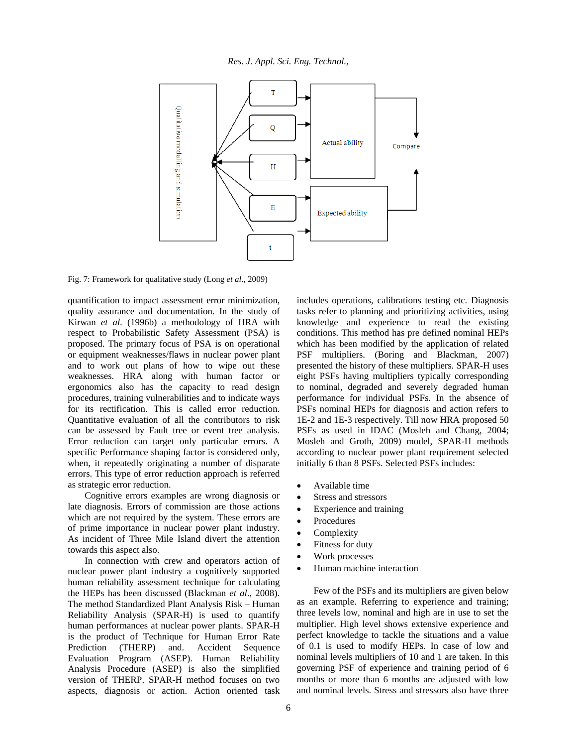

Fig. 7: Framework for qualitative study (Long *et al*., 2009)

quantification to impact assessment error minimization, quality assurance and documentation. In the study of Kirwan *et al*. (1996b) a methodology of HRA with respect to Probabilistic Safety Assessment (PSA) is proposed. The primary focus of PSA is on operational or equipment weaknesses/flaws in nuclear power plant and to work out plans of how to wipe out these weaknesses. HRA along with human factor or ergonomics also has the capacity to read design procedures, training vulnerabilities and to indicate ways for its rectification. This is called error reduction. Quantitative evaluation of all the contributors to risk can be assessed by Fault tree or event tree analysis. Error reduction can target only particular errors. A specific Performance shaping factor is considered only, when, it repeatedly originating a number of disparate errors. This type of error reduction approach is referred as strategic error reduction.

Cognitive errors examples are wrong diagnosis or late diagnosis. Errors of commission are those actions which are not required by the system. These errors are of prime importance in nuclear power plant industry. As incident of Three Mile Island divert the attention towards this aspect also.

In connection with crew and operators action of nuclear power plant industry a cognitively supported human reliability assessment technique for calculating the HEPs has been discussed (Blackman *et al*., 2008). The method Standardized Plant Analysis Risk – Human Reliability Analysis (SPAR-H) is used to quantify human performances at nuclear power plants. SPAR-H is the product of Technique for Human Error Rate Prediction (THERP) and. Accident Sequence Evaluation Program (ASEP). Human Reliability Analysis Procedure (ASEP) is also the simplified version of THERP. SPAR-H method focuses on two aspects, diagnosis or action. Action oriented task

includes operations, calibrations testing etc. Diagnosis tasks refer to planning and prioritizing activities, using knowledge and experience to read the existing conditions. This method has pre defined nominal HEPs which has been modified by the application of related PSF multipliers. (Boring and Blackman, 2007) presented the history of these multipliers. SPAR-H uses eight PSFs having multipliers typically corresponding to nominal, degraded and severely degraded human performance for individual PSFs. In the absence of PSFs nominal HEPs for diagnosis and action refers to 1E-2 and 1E-3 respectively. Till now HRA proposed 50 PSFs as used in IDAC (Mosleh and Chang, 2004; Mosleh and Groth, 2009) model, SPAR-H methods according to nuclear power plant requirement selected initially 6 than 8 PSFs. Selected PSFs includes:

- Available time
- Stress and stressors
- Experience and training
- Procedures
- **Complexity**
- Fitness for duty
- Work processes
- Human machine interaction

Few of the PSFs and its multipliers are given below as an example. Referring to experience and training; three levels low, nominal and high are in use to set the multiplier. High level shows extensive experience and perfect knowledge to tackle the situations and a value of 0.1 is used to modify HEPs. In case of low and nominal levels multipliers of 10 and 1 are taken. In this governing PSF of experience and training period of 6 months or more than 6 months are adjusted with low and nominal levels. Stress and stressors also have three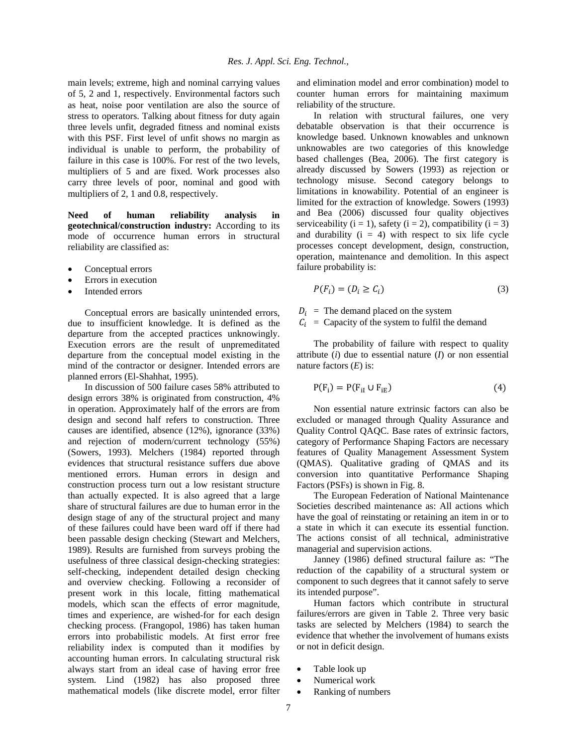main levels; extreme, high and nominal carrying values of 5, 2 and 1, respectively. Environmental factors such as heat, noise poor ventilation are also the source of stress to operators. Talking about fitness for duty again three levels unfit, degraded fitness and nominal exists with this PSF. First level of unfit shows no margin as individual is unable to perform, the probability of failure in this case is 100%. For rest of the two levels, multipliers of 5 and are fixed. Work processes also carry three levels of poor, nominal and good with multipliers of 2, 1 and 0.8, respectively.

**Need of human reliability analysis in geotechnical/construction industry:** According to its mode of occurrence human errors in structural reliability are classified as:

- Conceptual errors
- Errors in execution
- Intended errors

Conceptual errors are basically unintended errors, due to insufficient knowledge. It is defined as the departure from the accepted practices unknowingly. Execution errors are the result of unpremeditated departure from the conceptual model existing in the mind of the contractor or designer. Intended errors are planned errors (El-Shahhat, 1995).

In discussion of 500 failure cases 58% attributed to design errors 38% is originated from construction, 4% in operation. Approximately half of the errors are from design and second half refers to construction. Three causes are identified, absence (12%), ignorance (33%) and rejection of modern/current technology (55%) (Sowers, 1993). Melchers (1984) reported through evidences that structural resistance suffers due above mentioned errors. Human errors in design and construction process turn out a low resistant structure than actually expected. It is also agreed that a large share of structural failures are due to human error in the design stage of any of the structural project and many of these failures could have been ward off if there had been passable design checking (Stewart and Melchers, 1989). Results are furnished from surveys probing the usefulness of three classical design-checking strategies: self-checking, independent detailed design checking and overview checking. Following a reconsider of present work in this locale, fitting mathematical models, which scan the effects of error magnitude, times and experience, are wished-for for each design checking process. (Frangopol, 1986) has taken human errors into probabilistic models. At first error free reliability index is computed than it modifies by accounting human errors. In calculating structural risk always start from an ideal case of having error free system. Lind (1982) has also proposed three mathematical models (like discrete model, error filter

and elimination model and error combination) model to counter human errors for maintaining maximum reliability of the structure.

In relation with structural failures, one very debatable observation is that their occurrence is knowledge based. Unknown knowables and unknown unknowables are two categories of this knowledge based challenges (Bea, 2006). The first category is already discussed by Sowers (1993) as rejection or technology misuse. Second category belongs to limitations in knowability. Potential of an engineer is limited for the extraction of knowledge. Sowers (1993) and Bea (2006) discussed four quality objectives serviceability ( $i = 1$ ), safety ( $i = 2$ ), compatibility ( $i = 3$ ) and durability  $(i = 4)$  with respect to six life cycle processes concept development, design, construction, operation, maintenance and demolition. In this aspect failure probability is:

$$
P(F_i) = (D_i \ge C_i) \tag{3}
$$

 $D_i$  = The demand placed on the system

 $C_i$  = Capacity of the system to fulfil the demand

The probability of failure with respect to quality attribute (*i*) due to essential nature (*I*) or non essential nature factors (*E*) is:

$$
P(F_i) = P(F_{iI} \cup F_{iE})
$$
\n<sup>(4)</sup>

Non essential nature extrinsic factors can also be excluded or managed through Quality Assurance and Quality Control QAQC. Base rates of extrinsic factors, category of Performance Shaping Factors are necessary features of Quality Management Assessment System (QMAS). Qualitative grading of QMAS and its conversion into quantitative Performance Shaping Factors (PSFs) is shown in Fig. 8.

The European Federation of National Maintenance Societies described maintenance as: All actions which have the goal of reinstating or retaining an item in or to a state in which it can execute its essential function. The actions consist of all technical, administrative managerial and supervision actions.

Janney (1986) defined structural failure as: "The reduction of the capability of a structural system or component to such degrees that it cannot safely to serve its intended purpose".

Human factors which contribute in structural failures/errors are given in Table 2. Three very basic tasks are selected by Melchers (1984) to search the evidence that whether the involvement of humans exists or not in deficit design.

- Table look up
- Numerical work
- Ranking of numbers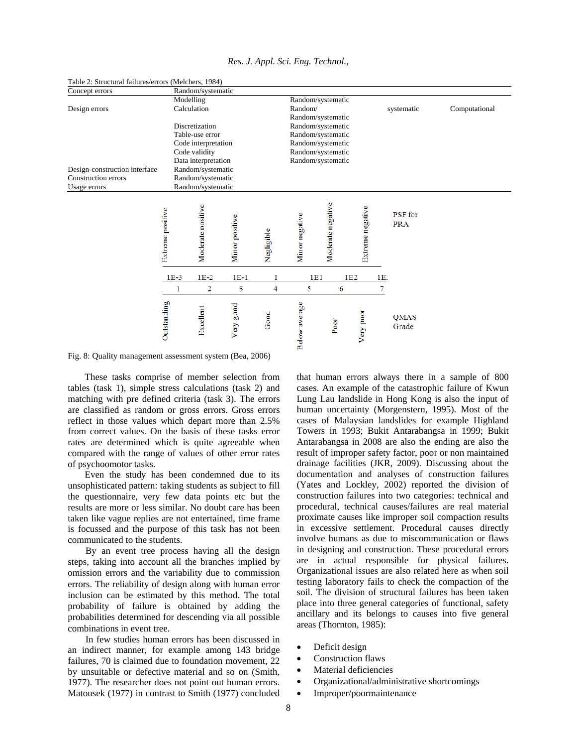| Concept errors                |                  | Random/systematic                    |                |            |                                                                                  |                   |                  |     |                       |               |
|-------------------------------|------------------|--------------------------------------|----------------|------------|----------------------------------------------------------------------------------|-------------------|------------------|-----|-----------------------|---------------|
|                               |                  | Modelling                            |                |            |                                                                                  | Random/systematic |                  |     |                       |               |
| Design errors                 |                  | Calculation                          |                |            | Random/                                                                          |                   |                  |     | systematic            | Computational |
|                               |                  |                                      |                |            |                                                                                  | Random/systematic |                  |     |                       |               |
|                               |                  | Discretization                       |                |            |                                                                                  | Random/systematic |                  |     |                       |               |
|                               |                  | Table-use error                      |                |            | Random/systematic<br>Random/systematic<br>Random/systematic<br>Random/systematic |                   |                  |     |                       |               |
|                               |                  | Code interpretation                  |                |            |                                                                                  |                   |                  |     |                       |               |
|                               |                  | Code validity<br>Data interpretation |                |            |                                                                                  |                   |                  |     |                       |               |
|                               |                  |                                      |                |            |                                                                                  |                   |                  |     |                       |               |
| Design-construction interface |                  | Random/systematic                    |                |            |                                                                                  |                   |                  |     |                       |               |
| Construction errors           |                  | Random/systematic                    |                |            |                                                                                  |                   |                  |     |                       |               |
| Usage errors                  |                  | Random/systematic                    |                |            |                                                                                  |                   |                  |     |                       |               |
|                               | Extreme positive | Moderate positive                    | Minor positive | Negligible | Minor negative                                                                   | Moderate negative | Extreme negative |     | PSF for<br><b>PRA</b> |               |
|                               | $1E-3$           | $1E-2$                               | $1E-1$         |            | 1E1                                                                              |                   | 1E2              | 1E: |                       |               |
|                               | 1                | 2                                    | 3              | 4          | 5                                                                                | 6                 |                  | 7   |                       |               |
|                               | Outstanding      | Excellent                            | Very good      | Good       | <b>Below</b> average                                                             | Poor              | Very poor        |     | <b>QMAS</b><br>Grade  |               |

*Res. J. Appl. Sci. Eng. Technol.,* 

Table 2: Structural failures/errors (Melchers, 1984)

Fig. 8: Quality management assessment system (Bea, 2006)

These tasks comprise of member selection from tables (task 1), simple stress calculations (task 2) and matching with pre defined criteria (task 3). The errors are classified as random or gross errors. Gross errors reflect in those values which depart more than 2.5% from correct values. On the basis of these tasks error rates are determined which is quite agreeable when compared with the range of values of other error rates of psychoomotor tasks.

Even the study has been condemned due to its unsophisticated pattern: taking students as subject to fill the questionnaire, very few data points etc but the results are more or less similar. No doubt care has been taken like vague replies are not entertained, time frame is focussed and the purpose of this task has not been communicated to the students.

By an event tree process having all the design steps, taking into account all the branches implied by omission errors and the variability due to commission errors. The reliability of design along with human error inclusion can be estimated by this method. The total probability of failure is obtained by adding the probabilities determined for descending via all possible combinations in event tree.

In few studies human errors has been discussed in an indirect manner, for example among 143 bridge failures, 70 is claimed due to foundation movement, 22 by unsuitable or defective material and so on (Smith, 1977). The researcher does not point out human errors. Matousek (1977) in contrast to Smith (1977) concluded

that human errors always there in a sample of 800 cases. An example of the catastrophic failure of Kwun Lung Lau landslide in Hong Kong is also the input of human uncertainty (Morgenstern, 1995). Most of the cases of Malaysian landslides for example Highland Towers in 1993; Bukit Antarabangsa in 1999; Bukit Antarabangsa in 2008 are also the ending are also the result of improper safety factor, poor or non maintained drainage facilities (JKR, 2009). Discussing about the documentation and analyses of construction failures (Yates and Lockley, 2002) reported the division of construction failures into two categories: technical and procedural, technical causes/failures are real material proximate causes like improper soil compaction results in excessive settlement. Procedural causes directly involve humans as due to miscommunication or flaws in designing and construction. These procedural errors are in actual responsible for physical failures. Organizational issues are also related here as when soil testing laboratory fails to check the compaction of the soil. The division of structural failures has been taken place into three general categories of functional, safety ancillary and its belongs to causes into five general areas (Thornton, 1985):

- Deficit design
- Construction flaws
- Material deficiencies
- Organizational/administrative shortcomings
- Improper/poormaintenance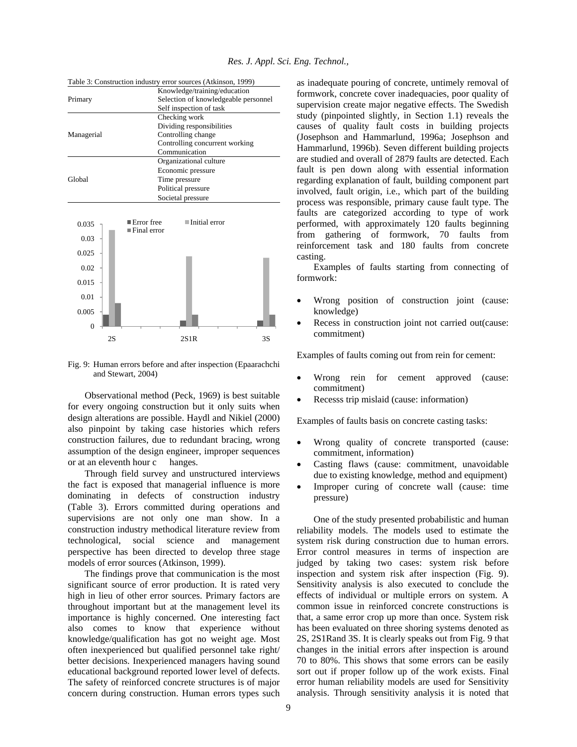| Table 3: Construction industry error sources (Atkinson, 1999) |  |  |  |  |  |  |  |  |
|---------------------------------------------------------------|--|--|--|--|--|--|--|--|
|---------------------------------------------------------------|--|--|--|--|--|--|--|--|



Fig. 9: Human errors before and after inspection (Epaarachchi and Stewart, 2004)

Observational method (Peck, 1969) is best suitable for every ongoing construction but it only suits when design alterations are possible. Haydl and Nikiel (2000) also pinpoint by taking case histories which refers construction failures, due to redundant bracing, wrong assumption of the design engineer, improper sequences or at an eleventh hour c hanges.

Through field survey and unstructured interviews the fact is exposed that managerial influence is more dominating in defects of construction industry (Table 3). Errors committed during operations and supervisions are not only one man show. In a construction industry methodical literature review from technological, social science and management perspective has been directed to develop three stage models of error sources (Atkinson, 1999).

The findings prove that communication is the most significant source of error production. It is rated very high in lieu of other error sources. Primary factors are throughout important but at the management level its importance is highly concerned. One interesting fact also comes to know that experience without knowledge/qualification has got no weight age. Most often inexperienced but qualified personnel take right/ better decisions. Inexperienced managers having sound educational background reported lower level of defects. The safety of reinforced concrete structures is of major concern during construction. Human errors types such

as inadequate pouring of concrete, untimely removal of formwork, concrete cover inadequacies, poor quality of supervision create major negative effects. The Swedish study (pinpointed slightly, in Section 1.1) reveals the causes of quality fault costs in building projects (Josephson and Hammarlund, 1996a; Josephson and Hammarlund, 1996b). Seven different building projects are studied and overall of 2879 faults are detected. Each fault is pen down along with essential information regarding explanation of fault, building component part involved, fault origin, i.e., which part of the building process was responsible, primary cause fault type. The faults are categorized according to type of work performed, with approximately 120 faults beginning from gathering of formwork, 70 faults from reinforcement task and 180 faults from concrete casting.

Examples of faults starting from connecting of formwork:

- Wrong position of construction joint (cause: knowledge)
- Recess in construction joint not carried out(cause: commitment)

Examples of faults coming out from rein for cement:

- Wrong rein for cement approved (cause: commitment)
- Recesss trip mislaid (cause: information)

Examples of faults basis on concrete casting tasks:

- Wrong quality of concrete transported (cause: commitment, information)
- Casting flaws (cause: commitment, unavoidable due to existing knowledge, method and equipment)
- Improper curing of concrete wall (cause: time pressure)

One of the study presented probabilistic and human reliability models. The models used to estimate the system risk during construction due to human errors. Error control measures in terms of inspection are judged by taking two cases: system risk before inspection and system risk after inspection (Fig. 9). Sensitivity analysis is also executed to conclude the effects of individual or multiple errors on system. A common issue in reinforced concrete constructions is that, a same error crop up more than once. System risk has been evaluated on three shoring systems denoted as 2S, 2S1Rand 3S. It is clearly speaks out from Fig. 9 that changes in the initial errors after inspection is around 70 to 80%. This shows that some errors can be easily sort out if proper follow up of the work exists. Final error human reliability models are used for Sensitivity analysis. Through sensitivity analysis it is noted that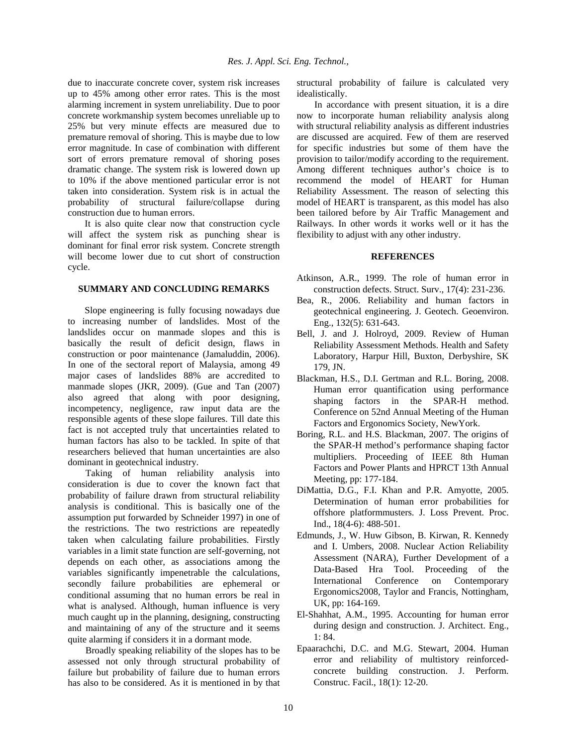due to inaccurate concrete cover, system risk increases up to 45% among other error rates. This is the most alarming increment in system unreliability. Due to poor concrete workmanship system becomes unreliable up to 25% but very minute effects are measured due to premature removal of shoring. This is maybe due to low error magnitude. In case of combination with different sort of errors premature removal of shoring poses dramatic change. The system risk is lowered down up to 10% if the above mentioned particular error is not taken into consideration. System risk is in actual the probability of structural failure/collapse during construction due to human errors.

It is also quite clear now that construction cycle will affect the system risk as punching shear is dominant for final error risk system. Concrete strength will become lower due to cut short of construction cycle.

#### **SUMMARY AND CONCLUDING REMARKS**

Slope engineering is fully focusing nowadays due to increasing number of landslides. Most of the landslides occur on manmade slopes and this is basically the result of deficit design, flaws in construction or poor maintenance (Jamaluddin, 2006). In one of the sectoral report of Malaysia, among 49 major cases of landslides 88% are accredited to manmade slopes (JKR, 2009). (Gue and Tan (2007) also agreed that along with poor designing, incompetency, negligence, raw input data are the responsible agents of these slope failures. Till date this fact is not accepted truly that uncertainties related to human factors has also to be tackled. In spite of that researchers believed that human uncertainties are also dominant in geotechnical industry.

Taking of human reliability analysis into consideration is due to cover the known fact that probability of failure drawn from structural reliability analysis is conditional. This is basically one of the assumption put forwarded by Schneider 1997) in one of the restrictions. The two restrictions are repeatedly taken when calculating failure probabilities. Firstly variables in a limit state function are self-governing, not depends on each other, as associations among the variables significantly impenetrable the calculations, secondly failure probabilities are ephemeral or conditional assuming that no human errors be real in what is analysed. Although, human influence is very much caught up in the planning, designing, constructing and maintaining of any of the structure and it seems quite alarming if considers it in a dormant mode.

Broadly speaking reliability of the slopes has to be assessed not only through structural probability of failure but probability of failure due to human errors has also to be considered. As it is mentioned in by that

structural probability of failure is calculated very idealistically.

In accordance with present situation, it is a dire now to incorporate human reliability analysis along with structural reliability analysis as different industries are discussed are acquired. Few of them are reserved for specific industries but some of them have the provision to tailor/modify according to the requirement. Among different techniques author's choice is to recommend the model of HEART for Human Reliability Assessment. The reason of selecting this model of HEART is transparent, as this model has also been tailored before by Air Traffic Management and Railways. In other words it works well or it has the flexibility to adjust with any other industry.

#### **REFERENCES**

- Atkinson, A.R., 1999. The role of human error in construction defects. Struct. Surv., 17(4): 231-236.
- Bea, R., 2006. Reliability and human factors in geotechnical engineering. J. Geotech. Geoenviron. Eng., 132(5): 631-643.
- Bell, J. and J. Holroyd, 2009. Review of Human Reliability Assessment Methods. Health and Safety Laboratory, Harpur Hill, Buxton, Derbyshire, SK 179, JN.
- Blackman, H.S., D.I. Gertman and R.L. Boring, 2008. Human error quantification using performance shaping factors in the SPAR-H method. Conference on 52nd Annual Meeting of the Human Factors and Ergonomics Society, NewYork.
- Boring, R.L. and H.S. Blackman, 2007. The origins of the SPAR-H method's performance shaping factor multipliers. Proceeding of IEEE 8th Human Factors and Power Plants and HPRCT 13th Annual Meeting, pp: 177-184.
- DiMattia, D.G., F.I. Khan and P.R. Amyotte, 2005. Determination of human error probabilities for offshore platformmusters. J. Loss Prevent. Proc. Ind., 18(4-6): 488-501.
- Edmunds, J., W. Huw Gibson, B. Kirwan, R. Kennedy and I. Umbers, 2008. Nuclear Action Reliability Assessment (NARA), Further Development of a Data-Based Hra Tool. Proceeding of the International Conference on Contemporary Ergonomics2008, Taylor and Francis, Nottingham, UK, pp: 164-169.
- El-Shahhat, A.M., 1995. Accounting for human error during design and construction. J. Architect. Eng., 1: 84.
- Epaarachchi, D.C. and M.G. Stewart, 2004. Human error and reliability of multistory reinforcedconcrete building construction. J. Perform. Construc. Facil., 18(1): 12-20.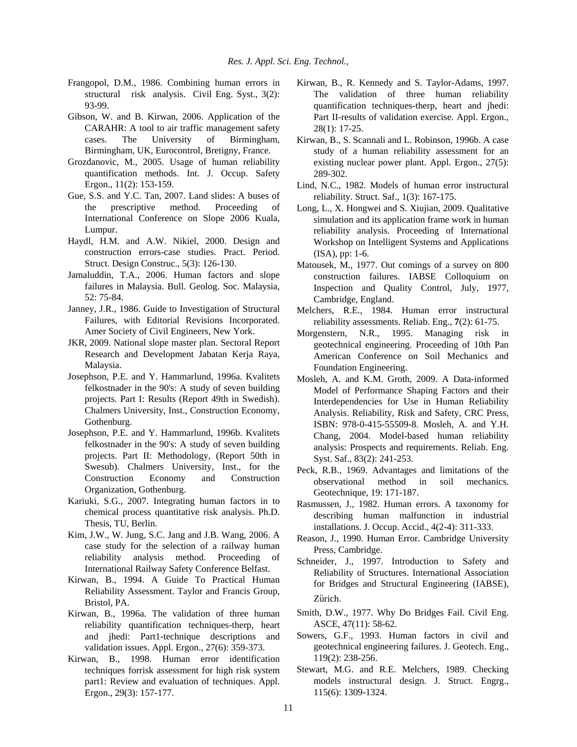- Frangopol, D.M., 1986. Combining human errors in structural risk analysis. Civil Eng. Syst., 3(2): 93-99.
- Gibson, W. and B. Kirwan, 2006. Application of the CARAHR: A tool to air traffic management safety cases. The University of Birmingham, Birmingham, UK, Eurocontrol, Bretigny, France.
- Grozdanovic, M., 2005. Usage of human reliability quantification methods. Int. J. Occup. Safety Ergon., 11(2): 153-159.
- Gue, S.S. and Y.C. Tan, 2007. Land slides: A buses of the prescriptive method. Proceeding of International Conference on Slope 2006 Kuala, Lumpur.
- Haydl, H.M. and A.W. Nikiel, 2000. Design and construction errors-case studies. Pract. Period. Struct. Design Construc., 5(3): 126-130.
- Jamaluddin, T.A., 2006. Human factors and slope failures in Malaysia. Bull. Geolog. Soc. Malaysia, 52: 75-84.
- Janney, J.R., 1986. Guide to Investigation of Structural Failures, with Editorial Revisions Incorporated. Amer Society of Civil Engineers, New York.
- JKR, 2009. National slope master plan. Sectoral Report Research and Development Jabatan Kerja Raya, Malaysia.
- Josephson, P.E. and Y. Hammarlund, 1996a. Kvalitets felkostnader in the 90's: A study of seven building projects. Part I: Results (Report 49th in Swedish). Chalmers University, Inst., Construction Economy, Gothenburg.
- Josephson, P.E. and Y. Hammarlund, 1996b. Kvalitets felkostnader in the 90's: A study of seven building projects. Part II: Methodology, (Report 50th in Swesub). Chalmers University, Inst., for the Construction Economy and Construction Organization, Gothenburg.
- Kariuki, S.G., 2007. Integrating human factors in to chemical process quantitative risk analysis. Ph.D. Thesis, TU, Berlin.
- Kim, J.W., W. Jung, S.C. Jang and J.B. Wang, 2006. A case study for the selection of a railway human reliability analysis method. Proceeding of International Railway Safety Conference Belfast.
- Kirwan, B., 1994. A Guide To Practical Human Reliability Assessment. Taylor and Francis Group, Bristol, PA.
- Kirwan, B., 1996a. The validation of three human reliability quantification techniques-therp, heart and jhedi: Part1-technique descriptions and validation issues. Appl. Ergon., 27(6): 359-373.
- Kirwan, B., 1998. Human error identification techniques forrisk assessment for high risk system part1: Review and evaluation of techniques. Appl. Ergon., 29(3): 157-177.
- Kirwan, B., R. Kennedy and S. Taylor-Adams, 1997. The validation of three human reliability quantification techniques-therp, heart and jhedi: Part II-results of validation exercise. Appl. Ergon., 28(1): 17-25.
- Kirwan, B., S. Scannali and L. Robinson, 1996b. A case study of a human reliability assessment for an existing nuclear power plant. Appl. Ergon., 27(5): 289-302.
- Lind, N.C., 1982. Models of human error instructural reliability. Struct. Saf., 1(3): 167-175.
- Long, L., X. Hongwei and S. Xiujian, 2009. Qualitative simulation and its application frame work in human reliability analysis. Proceeding of International Workshop on Intelligent Systems and Applications (ISA), pp: 1-6.
- Matousek, M., 1977. Out comings of a survey on 800 construction failures. IABSE Colloquium on Inspection and Quality Control, July, 1977, Cambridge, England.
- Melchers, R.E., 1984. Human error instructural reliability assessments. Reliab. Eng., **7**(2): 61-75.
- Morgenstern, N.R., 1995. Managing risk in geotechnical engineering. Proceeding of 10th Pan American Conference on Soil Mechanics and Foundation Engineering.
- Mosleh, A. and K.M. Groth, 2009. A Data-informed Model of Performance Shaping Factors and their Interdependencies for Use in Human Reliability Analysis. Reliability, Risk and Safety, CRC Press, ISBN: 978-0-415-55509-8. Mosleh, A. and Y.H. Chang, 2004. Model-based human reliability analysis: Prospects and requirements. Reliab. Eng. Syst. Saf., 83(2): 241-253.
- Peck, R.B., 1969. Advantages and limitations of the observational method in soil mechanics. Geotechnique, 19: 171-187.
- Rasmussen, J., 1982. Human errors. A taxonomy for describing human malfunction in industrial installations. J. Occup. Accid., 4(2-4): 311-333.
- Reason, J., 1990. Human Error. Cambridge University Press, Cambridge.
- Schneider, J., 1997. Introduction to Safety and Reliability of Structures. International Association for Bridges and Structural Engineering (IABSE), Zürich.
- Smith, D.W., 1977. Why Do Bridges Fail. Civil Eng. ASCE, 47(11): 58-62.
- Sowers, G.F., 1993. Human factors in civil and geotechnical engineering failures. J. Geotech. Eng., 119(2): 238-256.
- Stewart, M.G. and R.E. Melchers, 1989. Checking models instructural design. J. Struct. Engrg., 115(6): 1309-1324.